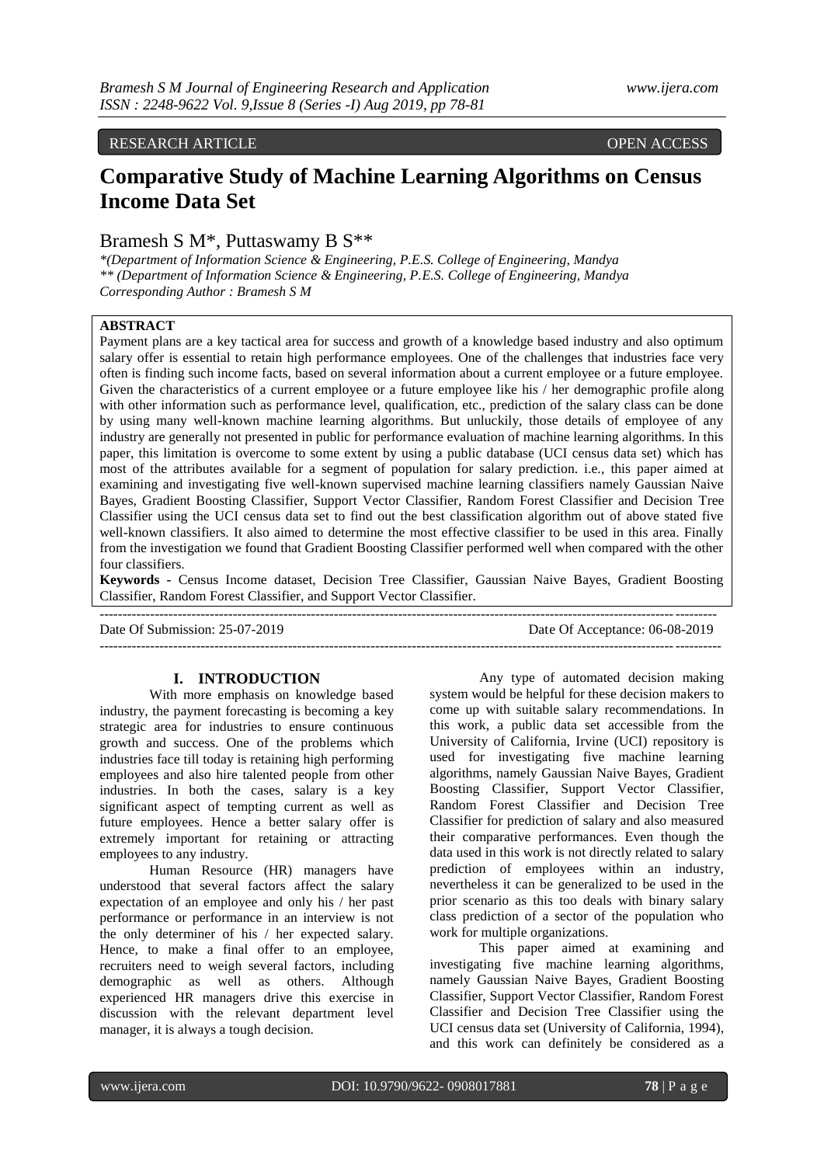# RESEARCH ARTICLE OPEN ACCESS

# **Comparative Study of Machine Learning Algorithms on Census Income Data Set**

# Bramesh S M\*, Puttaswamy B S\*\*

*\*(Department of Information Science & Engineering, P.E.S. College of Engineering, Mandya \*\* (Department of Information Science & Engineering, P.E.S. College of Engineering, Mandya Corresponding Author : Bramesh S M*

# **ABSTRACT**

Payment plans are a key tactical area for success and growth of a knowledge based industry and also optimum salary offer is essential to retain high performance employees. One of the challenges that industries face very often is finding such income facts, based on several information about a current employee or a future employee. Given the characteristics of a current employee or a future employee like his / her demographic profile along with other information such as performance level, qualification, etc., prediction of the salary class can be done by using many well-known machine learning algorithms. But unluckily, those details of employee of any industry are generally not presented in public for performance evaluation of machine learning algorithms. In this paper, this limitation is overcome to some extent by using a public database (UCI census data set) which has most of the attributes available for a segment of population for salary prediction. i.e., this paper aimed at examining and investigating five well-known supervised machine learning classifiers namely Gaussian Naive Bayes, Gradient Boosting Classifier, Support Vector Classifier, Random Forest Classifier and Decision Tree Classifier using the UCI census data set to find out the best classification algorithm out of above stated five well-known classifiers. It also aimed to determine the most effective classifier to be used in this area. Finally from the investigation we found that Gradient Boosting Classifier performed well when compared with the other four classifiers.

**Keywords -** Census Income dataset, Decision Tree Classifier, Gaussian Naive Bayes, Gradient Boosting Classifier, Random Forest Classifier, and Support Vector Classifier.

-------------------------------------------------------------------------------------------------------------------------------------- Date Of Submission: 25-07-2019 Date Of Acceptance: 06-08-2019 ---------------------------------------------------------------------------------------------------------------------------------------

## **I. INTRODUCTION**

With more emphasis on knowledge based industry, the payment forecasting is becoming a key strategic area for industries to ensure continuous growth and success. One of the problems which industries face till today is retaining high performing employees and also hire talented people from other industries. In both the cases, salary is a key significant aspect of tempting current as well as future employees. Hence a better salary offer is extremely important for retaining or attracting employees to any industry.

Human Resource (HR) managers have understood that several factors affect the salary expectation of an employee and only his / her past performance or performance in an interview is not the only determiner of his / her expected salary. Hence, to make a final offer to an employee, recruiters need to weigh several factors, including demographic as well as others. Although experienced HR managers drive this exercise in discussion with the relevant department level manager, it is always a tough decision.

Any type of automated decision making system would be helpful for these decision makers to come up with suitable salary recommendations. In this work, a public data set accessible from the University of California, Irvine (UCI) repository is used for investigating five machine learning algorithms, namely Gaussian Naive Bayes, Gradient Boosting Classifier, Support Vector Classifier, Random Forest Classifier and Decision Tree Classifier for prediction of salary and also measured their comparative performances. Even though the data used in this work is not directly related to salary prediction of employees within an industry, nevertheless it can be generalized to be used in the prior scenario as this too deals with binary salary class prediction of a sector of the population who work for multiple organizations.

This paper aimed at examining and investigating five machine learning algorithms, namely Gaussian Naive Bayes, Gradient Boosting Classifier, Support Vector Classifier, Random Forest Classifier and Decision Tree Classifier using the UCI census data set (University of California, 1994), and this work can definitely be considered as a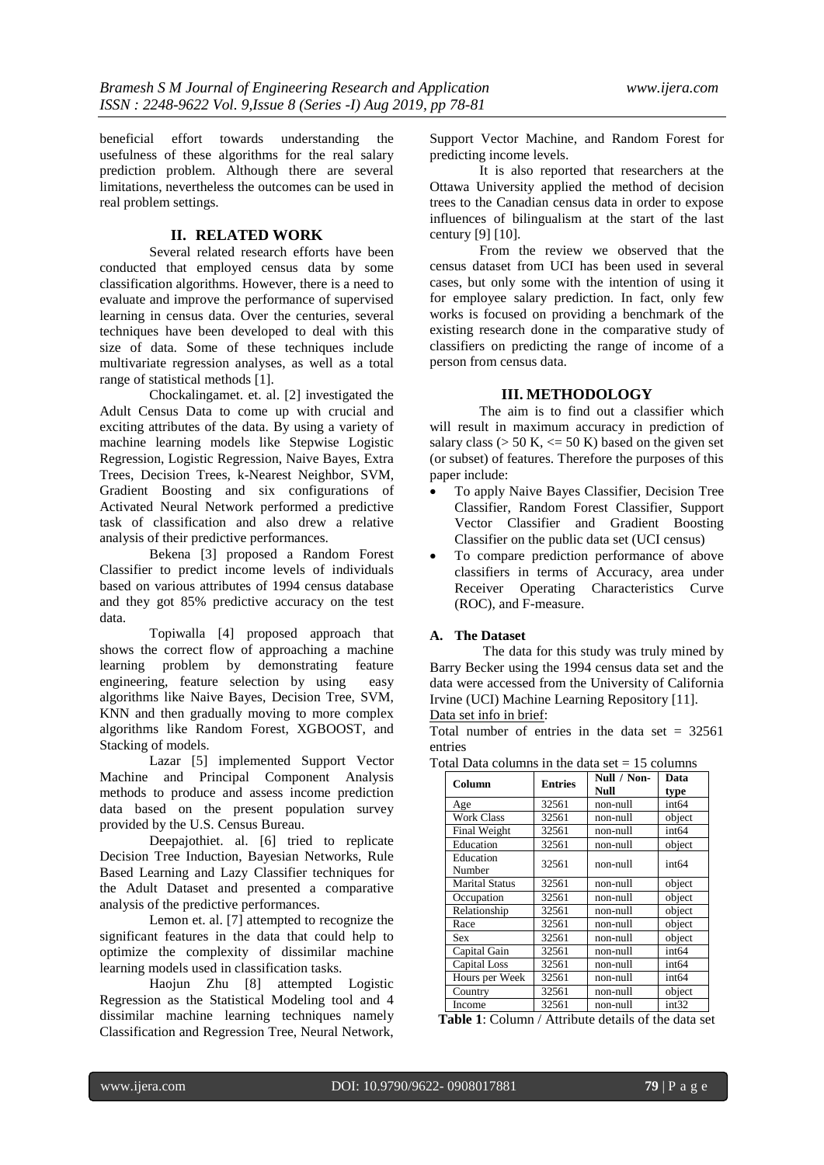beneficial effort towards understanding the usefulness of these algorithms for the real salary prediction problem. Although there are several limitations, nevertheless the outcomes can be used in real problem settings.

## **II. RELATED WORK**

Several related research efforts have been conducted that employed census data by some classification algorithms. However, there is a need to evaluate and improve the performance of supervised learning in census data. Over the centuries, several techniques have been developed to deal with this size of data. Some of these techniques include multivariate regression analyses, as well as a total range of statistical methods [1].

Chockalingamet. et. al. [2] investigated the Adult Census Data to come up with crucial and exciting attributes of the data. By using a variety of machine learning models like Stepwise Logistic Regression, Logistic Regression, Naive Bayes, Extra Trees, Decision Trees, k-Nearest Neighbor, SVM, Gradient Boosting and six configurations of Activated Neural Network performed a predictive task of classification and also drew a relative analysis of their predictive performances.

Bekena [3] proposed a Random Forest Classifier to predict income levels of individuals based on various attributes of 1994 census database and they got 85% predictive accuracy on the test data.

Topiwalla [4] proposed approach that shows the correct flow of approaching a machine learning problem by demonstrating feature engineering, feature selection by using easy algorithms like Naive Bayes, Decision Tree, SVM, KNN and then gradually moving to more complex algorithms like Random Forest, XGBOOST, and Stacking of models.

Lazar [5] implemented Support Vector Machine and Principal Component Analysis methods to produce and assess income prediction data based on the present population survey provided by the U.S. Census Bureau.

Deepajothiet. al. [6] tried to replicate Decision Tree Induction, Bayesian Networks, Rule Based Learning and Lazy Classifier techniques for the Adult Dataset and presented a comparative analysis of the predictive performances.

Lemon et. al. [7] attempted to recognize the significant features in the data that could help to optimize the complexity of dissimilar machine learning models used in classification tasks.

Haojun Zhu [8] attempted Logistic Regression as the Statistical Modeling tool and 4 dissimilar machine learning techniques namely Classification and Regression Tree, Neural Network,

Support Vector Machine, and Random Forest for predicting income levels.

It is also reported that researchers at the Ottawa University applied the method of decision trees to the Canadian census data in order to expose influences of bilingualism at the start of the last century [9] [10].

From the review we observed that the census dataset from UCI has been used in several cases, but only some with the intention of using it for employee salary prediction. In fact, only few works is focused on providing a benchmark of the existing research done in the comparative study of classifiers on predicting the range of income of a person from census data.

## **III. METHODOLOGY**

The aim is to find out a classifier which will result in maximum accuracy in prediction of salary class ( $> 50$  K,  $<= 50$  K) based on the given set (or subset) of features. Therefore the purposes of this paper include:

- To apply Naive Bayes Classifier, Decision Tree Classifier, Random Forest Classifier, Support Vector Classifier and Gradient Boosting Classifier on the public data set (UCI census)
- To compare prediction performance of above classifiers in terms of Accuracy, area under Receiver Operating Characteristics Curve (ROC), and F-measure.

## **A. The Dataset**

The data for this study was truly mined by Barry Becker using the 1994 census data set and the data were accessed from the University of California Irvine (UCI) Machine Learning Repository [11].

Data set info in brief:

Total number of entries in the data set  $= 32561$ entries

Total Data columns in the data set  $= 15$  columns

| Column                | <b>Entries</b> | Null / Non- | Data              |  |
|-----------------------|----------------|-------------|-------------------|--|
|                       |                | Null        | type              |  |
| Age                   | 32561          | non-null    | int64             |  |
| <b>Work Class</b>     | 32561          | non-null    | object            |  |
| Final Weight          | 32561          | non-null    | int <sub>64</sub> |  |
| Education             | 32561          | non-null    | object            |  |
| Education<br>Number   | 32561          | non-null    | int <sub>64</sub> |  |
| <b>Marital Status</b> | 32561          | non-null    | object            |  |
| Occupation            | 32561          | non-null    | object            |  |
| Relationship          | 32561          | non-null    | object            |  |
| Race                  | 32561          | non-null    | object            |  |
| Sex                   | 32561          | non-null    | object            |  |
| Capital Gain          | 32561          | non-null    | int <sub>64</sub> |  |
| Capital Loss          | 32561          | non-null    | int <sub>64</sub> |  |
| Hours per Week        | 32561          | non-null    | int <sub>64</sub> |  |
| Country               | 32561          | non-null    | object            |  |
| Income                | 32561          | non-null    | int32             |  |

**Table 1**: Column / Attribute details of the data set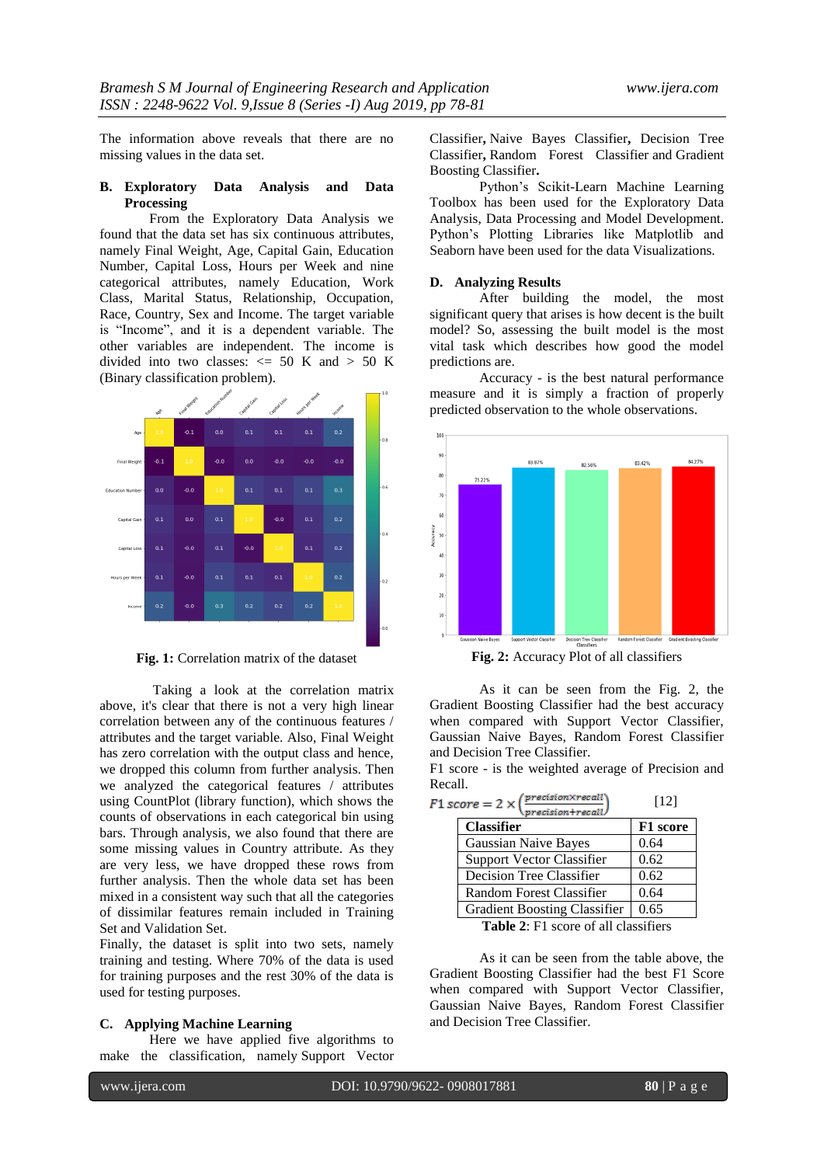The information above reveals that there are no missing values in the data set.

#### **B. Exploratory Data Analysis and Data Processing**

From the Exploratory Data Analysis we found that the data set has six continuous attributes, namely Final Weight, Age, Capital Gain, Education Number, Capital Loss, Hours per Week and nine categorical attributes, namely Education, Work Class, Marital Status, Relationship, Occupation, Race, Country, Sex and Income. The target variable is "Income", and it is a dependent variable. The other variables are independent. The income is divided into two classes:  $\le$  50 K and > 50 K (Binary classification problem).



**Fig. 1:** Correlation matrix of the dataset

Taking a look at the correlation matrix above, it's clear that there is not a very high linear correlation between any of the continuous features / attributes and the target variable. Also, Final Weight has zero correlation with the output class and hence, we dropped this column from further analysis. Then we analyzed the categorical features / attributes using CountPlot (library function), which shows the counts of observations in each categorical bin using bars. Through analysis, we also found that there are some missing values in Country attribute. As they are very less, we have dropped these rows from further analysis. Then the whole data set has been mixed in a consistent way such that all the categories of dissimilar features remain included in Training Set and Validation Set.

Finally, the dataset is split into two sets, namely training and testing. Where 70% of the data is used for training purposes and the rest 30% of the data is used for testing purposes.

## **C. Applying Machine Learning**

Here we have applied five algorithms to make the classification, namely Support Vector Classifier**,** Naive Bayes Classifier**,** Decision Tree Classifier**,** Random Forest Classifier and Gradient Boosting Classifier**.**

Python's Scikit-Learn Machine Learning Toolbox has been used for the Exploratory Data Analysis, Data Processing and Model Development. Python's Plotting Libraries like Matplotlib and Seaborn have been used for the data Visualizations.

#### **D. Analyzing Results**

After building the model, the most significant query that arises is how decent is the built model? So, assessing the built model is the most vital task which describes how good the model predictions are.

Accuracy - is the best natural performance measure and it is simply a fraction of properly predicted observation to the whole observations.



**Fig. 2:** Accuracy Plot of all classifiers

As it can be seen from the Fig. 2, the Gradient Boosting Classifier had the best accuracy when compared with Support Vector Classifier, Gaussian Naive Bayes, Random Forest Classifier and Decision Tree Classifier.

|         |  |  | F1 score - is the weighted average of Precision and |  |
|---------|--|--|-----------------------------------------------------|--|
| Recall. |  |  |                                                     |  |

| $score = 2 \times (\frac{precision \times recall}{)}$<br>$precision + recall$ | [12]            |
|-------------------------------------------------------------------------------|-----------------|
| <b>Classifier</b>                                                             | <b>F1</b> score |
| <b>Gaussian Naive Bayes</b>                                                   | 0.64            |
| <b>Support Vector Classifier</b>                                              | 0.62            |
| Decision Tree Classifier                                                      | 0.62            |
| Random Forest Classifier                                                      | 0.64            |
| <b>Gradient Boosting Classifier</b>                                           | 0.65            |
| $\mathbf{Table 2.}$ $\mathbf{F1}$ come of all algocitions                     |                 |

**Table 2**: F1 score of all classifiers

As it can be seen from the table above, the Gradient Boosting Classifier had the best F1 Score when compared with Support Vector Classifier, Gaussian Naive Bayes, Random Forest Classifier and Decision Tree Classifier.

 $F1$